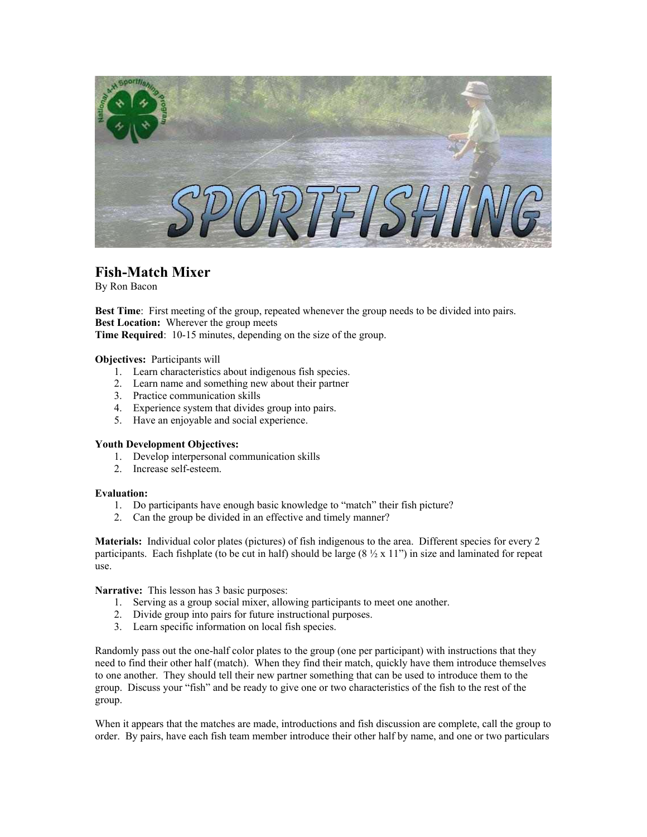

## **Fish-Match Mixer**

By Ron Bacon

Best Time: First meeting of the group, repeated whenever the group needs to be divided into pairs. **Best Location:** Wherever the group meets **Time Required**: 10-15 minutes, depending on the size of the group.

**Objectives:** Participants will

- 1. Learn characteristics about indigenous fish species.
- 2. Learn name and something new about their partner
- 3. Practice communication skills
- 4. Experience system that divides group into pairs.
- 5. Have an enjoyable and social experience.

## **Youth Development Objectives:**

- 1. Develop interpersonal communication skills
- 2. Increase self-esteem.

## **Evaluation:**

- 1. Do participants have enough basic knowledge to "match" their fish picture?
- 2. Can the group be divided in an effective and timely manner?

**Materials:** Individual color plates (pictures) of fish indigenous to the area. Different species for every 2 participants. Each fishplate (to be cut in half) should be large  $(8 \frac{1}{2} \times 11)$ " in size and laminated for repeat use.

**Narrative:** This lesson has 3 basic purposes:

- 1. Serving as a group social mixer, allowing participants to meet one another.
- 2. Divide group into pairs for future instructional purposes.
- 3. Learn specific information on local fish species.

Randomly pass out the one-half color plates to the group (one per participant) with instructions that they need to find their other half (match). When they find their match, quickly have them introduce themselves to one another. They should tell their new partner something that can be used to introduce them to the group. Discuss your "fish" and be ready to give one or two characteristics of the fish to the rest of the group.

When it appears that the matches are made, introductions and fish discussion are complete, call the group to order. By pairs, have each fish team member introduce their other half by name, and one or two particulars